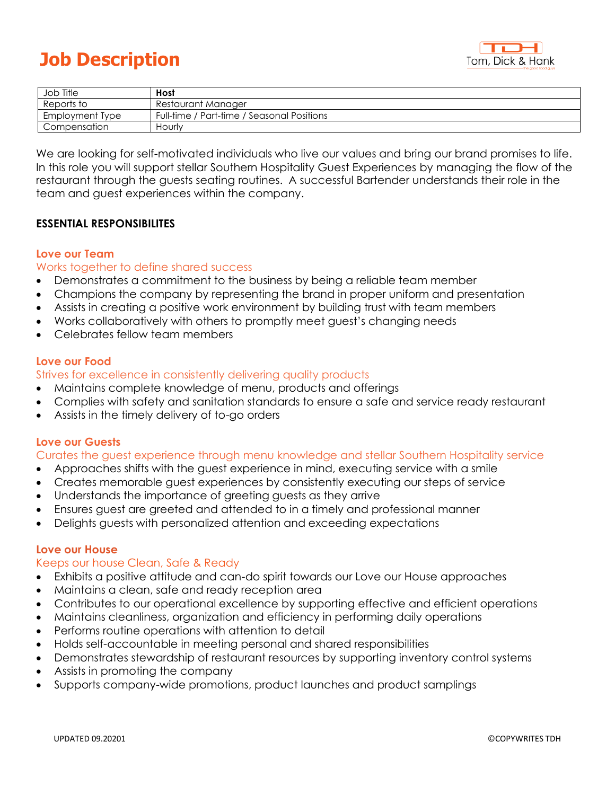# **Job Description**



| Job Title       | Host                                       |
|-----------------|--------------------------------------------|
| Reports to      | Restaurant Manager                         |
| Employment Type | Full-time / Part-time / Seasonal Positions |
| Compensation    | Hourly                                     |

We are looking for self-motivated individuals who live our values and bring our brand promises to life. In this role you will support stellar Southern Hospitality Guest Experiences by managing the flow of the restaurant through the guests seating routines. A successful Bartender understands their role in the team and guest experiences within the company.

# **ESSENTIAL RESPONSIBILITES**

#### **Love our Team**

### Works together to define shared success

- Demonstrates a commitment to the business by being a reliable team member
- Champions the company by representing the brand in proper uniform and presentation
- Assists in creating a positive work environment by building trust with team members
- Works collaboratively with others to promptly meet guest's changing needs
- Celebrates fellow team members

### **Love our Food**

### Strives for excellence in consistently delivering quality products

- Maintains complete knowledge of menu, products and offerings
- Complies with safety and sanitation standards to ensure a safe and service ready restaurant
- Assists in the timely delivery of to-go orders

# **Love our Guests**

#### Curates the guest experience through menu knowledge and stellar Southern Hospitality service

- Approaches shifts with the guest experience in mind, executing service with a smile
- Creates memorable guest experiences by consistently executing our steps of service
- Understands the importance of greeting guests as they arrive
- Ensures guest are greeted and attended to in a timely and professional manner
- Delights guests with personalized attention and exceeding expectations

#### **Love our House**

## Keeps our house Clean, Safe & Ready

- Exhibits a positive attitude and can-do spirit towards our Love our House approaches
- Maintains a clean, safe and ready reception area
- Contributes to our operational excellence by supporting effective and efficient operations
- Maintains cleanliness, organization and efficiency in performing daily operations
- Performs routine operations with attention to detail
- Holds self-accountable in meeting personal and shared responsibilities
- Demonstrates stewardship of restaurant resources by supporting inventory control systems
- Assists in promoting the company
- Supports company-wide promotions, product launches and product samplings